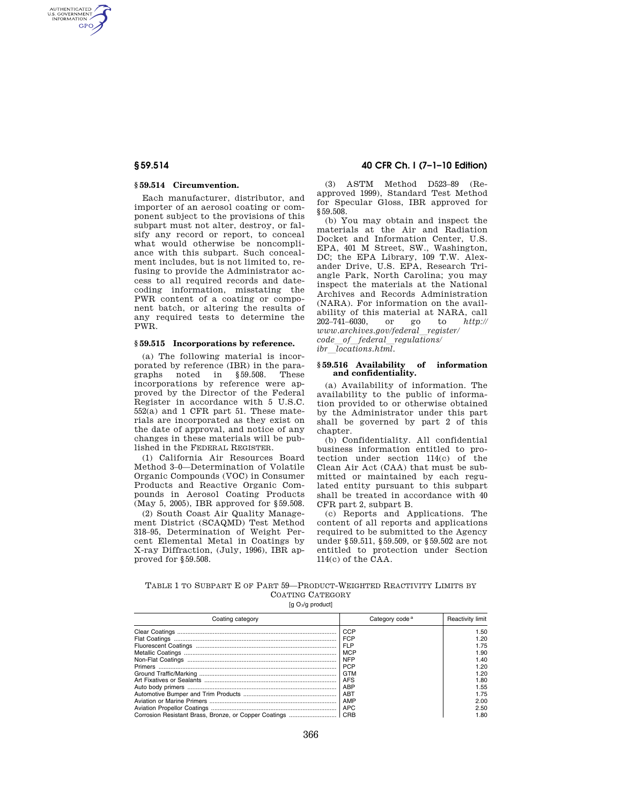AUTHENTICATED<br>U.S. GOVERNMENT<br>INFORMATION **GPO** 

#### **§ 59.514 Circumvention.**

Each manufacturer, distributor, and importer of an aerosol coating or component subject to the provisions of this subpart must not alter, destroy, or falsify any record or report, to conceal what would otherwise be noncompliance with this subpart. Such concealment includes, but is not limited to, refusing to provide the Administrator access to all required records and datecoding information, misstating the PWR content of a coating or component batch, or altering the results of any required tests to determine the PWR.

### **§ 59.515 Incorporations by reference.**

(a) The following material is incorporated by reference (IBR) in the paragraphs noted in §59.508. These incorporations by reference were approved by the Director of the Federal Register in accordance with 5 U.S.C. 552(a) and 1 CFR part 51. These materials are incorporated as they exist on the date of approval, and notice of any changes in these materials will be published in the FEDERAL REGISTER.

(1) California Air Resources Board Method 3–0—Determination of Volatile Organic Compounds (VOC) in Consumer Products and Reactive Organic Compounds in Aerosol Coating Products (May 5, 2005), IBR approved for §59.508.

(2) South Coast Air Quality Management District (SCAQMD) Test Method 318–95, Determination of Weight Percent Elemental Metal in Coatings by X-ray Diffraction, (July, 1996), IBR approved for §59.508.

**§ 59.514 40 CFR Ch. I (7–1–10 Edition)** 

(3) ASTM Method D523–89 (Reapproved 1999), Standard Test Method for Specular Gloss, IBR approved for § 59.508.

(b) You may obtain and inspect the materials at the Air and Radiation Docket and Information Center, U.S. EPA, 401 M Street, SW., Washington, DC; the EPA Library, 109 T.W. Alexander Drive, U.S. EPA, Research Triangle Park, North Carolina; you may inspect the materials at the National Archives and Records Administration (NARA). For information on the availability of this material at NARA, call 202–741–6030, or go to *http:// www.archives.gov/federal*l*register/ code*l*of*l*federal*l*regulations/ ibr*  $\overline{locations.html}$ .

#### **§ 59.516 Availability of information and confidentiality.**

(a) Availability of information. The availability to the public of information provided to or otherwise obtained by the Administrator under this part shall be governed by part 2 of this chapter.

(b) Confidentiality. All confidential business information entitled to protection under section 114(c) of the Clean Air Act (CAA) that must be submitted or maintained by each regulated entity pursuant to this subpart shall be treated in accordance with 40 CFR part 2, subpart B.

(c) Reports and Applications. The content of all reports and applications required to be submitted to the Agency under §59.511, §59.509, or §59.502 are not entitled to protection under Section 114(c) of the CAA.

|  |  |                  | TABLE 1 TO SUBPART E OF PART 59-PRODUCT-WEIGHTED REACTIVITY LIMITS BY |  |
|--|--|------------------|-----------------------------------------------------------------------|--|
|  |  | COATING CATEGORY |                                                                       |  |

[g  $O<sub>3</sub>/g$  product]

| Coating category | Category code <sup>a</sup> | Reactivity limit |
|------------------|----------------------------|------------------|
|                  | CCP                        | 1.50             |
|                  | <b>FCP</b>                 | 1.20             |
|                  | <b>FLP</b>                 | 1.75             |
|                  | <b>MCP</b>                 | 1.90             |
|                  | <b>NFP</b>                 | 1.40             |
|                  | <b>PCP</b>                 | 1.20             |
|                  | GTM                        | 1.20             |
|                  | <b>AFS</b>                 | 1.80             |
|                  | <b>ABP</b>                 | 1.55             |
|                  | ABT                        | 1.75             |
|                  | AMP                        | 2.00             |
|                  | <b>APC</b>                 | 2.50             |
|                  |                            | 1.80             |